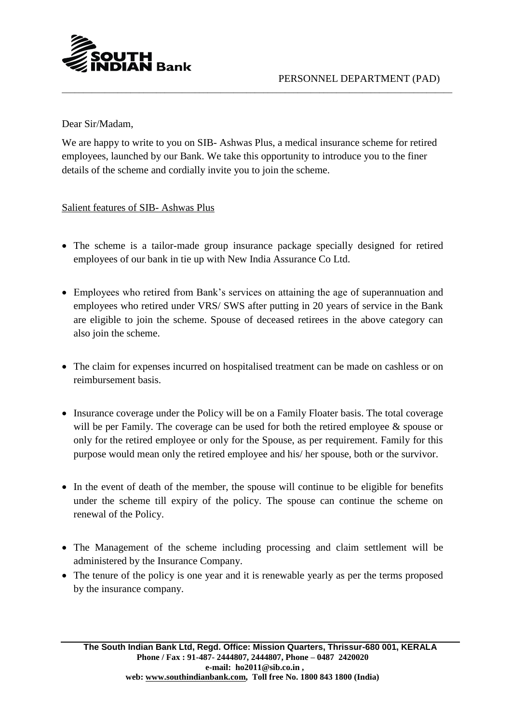

Dear Sir/Madam,

We are happy to write to you on SIB- Ashwas Plus, a medical insurance scheme for retired employees, launched by our Bank. We take this opportunity to introduce you to the finer details of the scheme and cordially invite you to join the scheme.

\_\_\_\_\_\_\_\_\_\_\_\_\_\_\_\_\_\_\_\_\_\_\_\_\_\_\_\_\_\_\_\_\_\_\_\_\_\_\_\_\_\_\_\_\_\_\_\_\_\_\_\_\_\_\_\_\_\_\_\_\_\_\_\_\_\_\_\_\_\_\_\_\_\_\_\_\_\_\_\_\_\_\_\_\_\_\_\_\_\_\_

Salient features of SIB- Ashwas Plus

- The scheme is a tailor-made group insurance package specially designed for retired employees of our bank in tie up with New India Assurance Co Ltd.
- Employees who retired from Bank's services on attaining the age of superannuation and employees who retired under VRS/ SWS after putting in 20 years of service in the Bank are eligible to join the scheme. Spouse of deceased retirees in the above category can also join the scheme.
- The claim for expenses incurred on hospitalised treatment can be made on cashless or on reimbursement basis.
- Insurance coverage under the Policy will be on a Family Floater basis. The total coverage will be per Family. The coverage can be used for both the retired employee & spouse or only for the retired employee or only for the Spouse, as per requirement. Family for this purpose would mean only the retired employee and his/ her spouse, both or the survivor.
- In the event of death of the member, the spouse will continue to be eligible for benefits under the scheme till expiry of the policy. The spouse can continue the scheme on renewal of the Policy.
- The Management of the scheme including processing and claim settlement will be administered by the Insurance Company.
- The tenure of the policy is one year and it is renewable yearly as per the terms proposed by the insurance company.